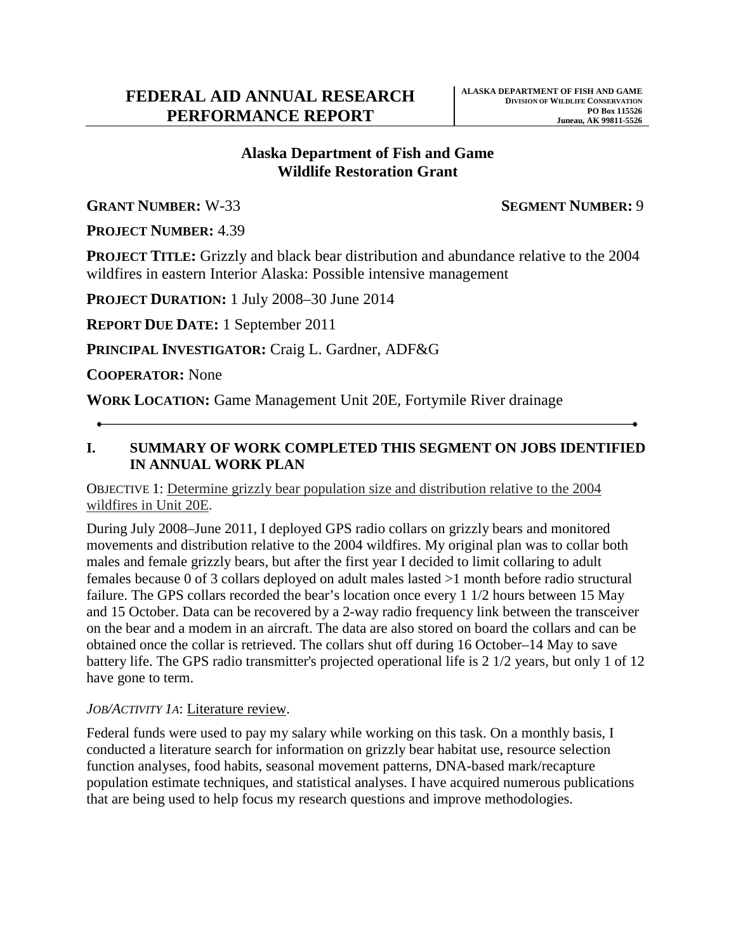# **Wildlife Restoration Grant Alaska Department of Fish and Game**

**GRANT NUMBER:** W-33 **SEGMENT NUMBER:** 9

**PROJECT NUMBER:** 4.39

 **PROJECT TITLE:** Grizzly and black bear distribution and abundance relative to the 2004 wildfires in eastern Interior Alaska: Possible intensive management

**PROJECT DURATION:** 1 July 2008–30 June 2014

**REPORT DUE DATE:** 1 September 2011

PRINCIPAL **INVESTIGATOR:** Craig L. Gardner, ADF&G

**COOPERATOR:** None

**WORK LOCATION:** Game Management Unit 20E, Fortymile River drainage

### **IN ANNUAL WORK PLAN I. SUMMARY OF WORK COMPLETED THIS SEGMENT ON JOBS IDENTIFIED**

OBJECTIVE 1: Determine grizzly bear population size and distribution relative to the 2004 wildfires in Unit 20E.

 males and female grizzly bears, but after the first year I decided to limit collaring to adult and 15 October. Data can be recovered by a 2-way radio frequency link between the transceiver battery life. The GPS radio transmitter's projected operational life is 2 1/2 years, but only 1 of 12 During July 2008–June 2011, I deployed GPS radio collars on grizzly bears and monitored movements and distribution relative to the 2004 wildfires. My original plan was to collar both females because 0 of 3 collars deployed on adult males lasted >1 month before radio structural failure. The GPS collars recorded the bear's location once every 1 1/2 hours between 15 May on the bear and a modem in an aircraft. The data are also stored on board the collars and can be obtained once the collar is retrieved. The collars shut off during 16 October–14 May to save have gone to term.

# *JOB/ACTIVITY 1A*: Literature review.

Federal funds were used to pay my salary while working on this task. On a monthly basis, I conducted a literature search for information on grizzly bear habitat use, resource selection function analyses, food habits, seasonal movement patterns, DNA-based mark/recapture population estimate techniques, and statistical analyses. I have acquired numerous publications that are being used to help focus my research questions and improve methodologies.